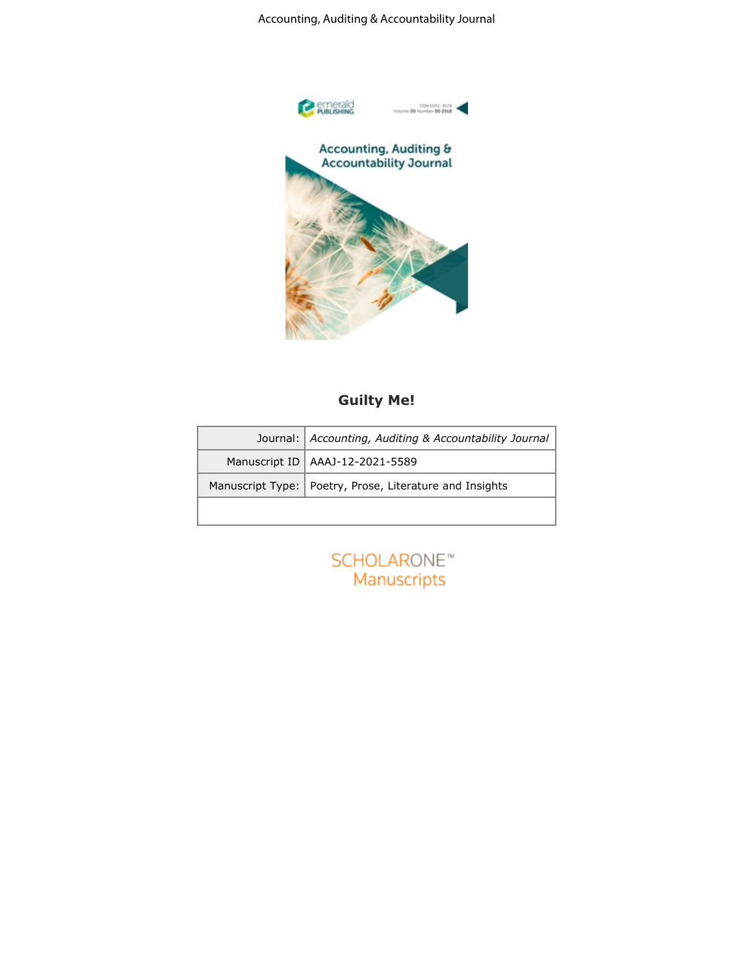Accounting, Auditing & Accountability Journal



## **Guilty Me!**

| Journal: Accounting, Auditing & Accountability Journal    |
|-----------------------------------------------------------|
| Manuscript ID   AAAJ-12-2021-5589                         |
| Manuscript Type:   Poetry, Prose, Literature and Insights |
|                                                           |

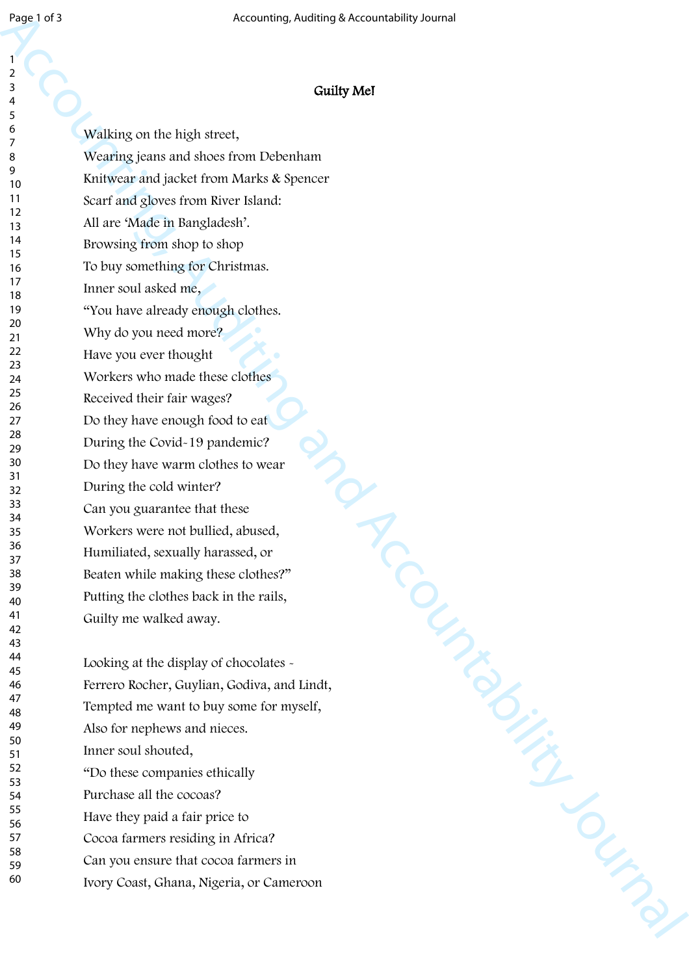## $\overline{Q}$

**Guilty Me!**

Accounting, Auditing and Accountability Journal of Accountability Journal of Accountability Journal (Accountability Journal Continued and Accountability Journal Continued and Accountability Journal of Accountability Journ Walking on the high street, Wearing jeans and shoes from Debenham Knitwear and jacket from Marks & Spencer Scarf and gloves from River Island: All are 'Made in Bangladesh'. Browsing from shop to shop To buy something for Christmas. Inner soul asked me, "You have already enough clothes. Why do you need more? Have you ever thought Workers who made these clothes Received their fair wages? Do they have enough food to eat During the Covid-19 pandemic? Do they have warm clothes to wear During the cold winter? Can you guarantee that these Workers were not bullied, abused, Humiliated, sexually harassed, or Beaten while making these clothes?" Putting the clothes back in the rails, Guilty me walked away. Looking at the display of chocolates  $\sim$ Ferrero Rocher, Guylian, Godiva, and Lindt, Tempted me want to buy some for myself, Also for nephews and nieces. Inner soul shouted, "Do these companies ethically Purchase all the cocoas? Have they paid a fair price to

Cocoa farmers residing in Africa?

Can you ensure that cocoa farmers in

Ivory Coast, Ghana, Nigeria, or Cameroon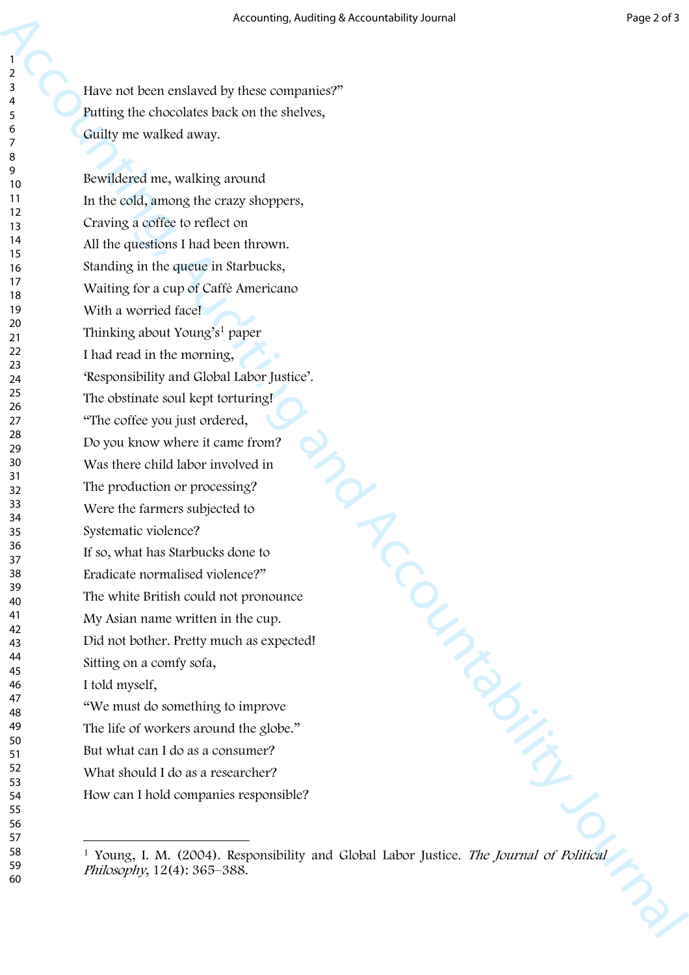Have not been enslaved by these companies?" Putting the chocolates back on the shelves, Guilty me walked away.

 $\begin{picture}(180,10) \put(0,0){\line(1,0){10}} \put(10,0){\line(1,0){10}} \put(10,0){\line(1,0){10}} \put(10,0){\line(1,0){10}} \put(10,0){\line(1,0){10}} \put(10,0){\line(1,0){10}} \put(10,0){\line(1,0){10}} \put(10,0){\line(1,0){10}} \put(10,0){\line(1,0){10}} \put(10,0){\line(1,0){10}} \put(10,0){\line(1,0){10}} \put(10,0){\line($ Bewildered me, walking around In the cold, among the crazy shoppers, Craving a coffee to reflect on All the questions I had been thrown. Standing in the queue in Starbucks, Waiting for a cup of Caffè Americano With a worried face! Thinking about Young's<sup>1</sup> paper I had read in the morning, 'Responsibility and Global Labor Justice'. The obstinate soul kept torturing! "The coffee you just ordered, Do you know where it came from? Was there child labor involved in The production or processing? Were the farmers subjected to Systematic violence? If so, what has Starbucks done to Eradicate normalised violence?" The white British could not pronounce My Asian name written in the cup. Did not bother. Pretty much as expected! Sitting on a comfy sofa, I told myself, "We must do something to improve The life of workers around the globe." But what can I do as a consumer? What should I do as a researcher? How can I hold companies responsible?

 Young, I. M. (2004). Responsibility and Global Labor Justice. *The Journal of Political Philosophy*, 12(4): 365–388.